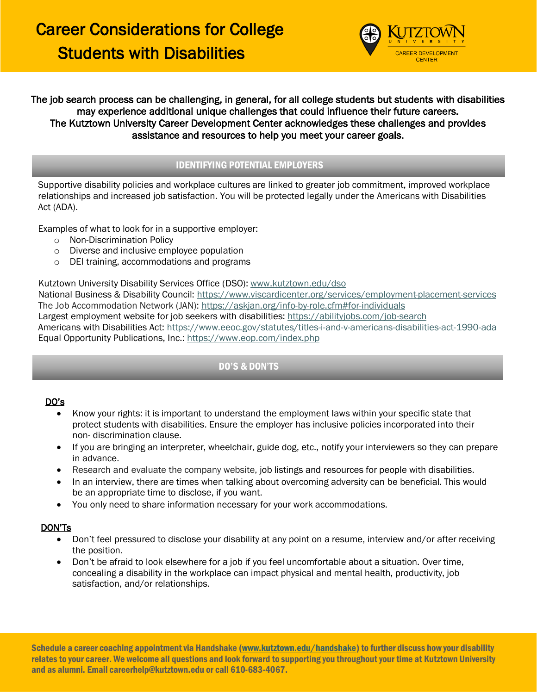# Career Considerations for College Students with Disabilities



## The job search process can be challenging, in general, for all college students but students with disabilities may experience additional unique challenges that could influence their future careers. The Kutztown University Career Development Center acknowledges these challenges and provides assistance and resources to help you meet your career goals.

## IDENTIFYING POTENTIAL EMPLOYERS

Supportive disability policies and workplace cultures are linked to greater job commitment, improved workplace relationships and increased job satisfaction. You will be protected legally under the Americans with Disabilities Act (ADA).

Examples of what to look for in a supportive employer:

- o Non-Discrimination Policy
- o Diverse and inclusive employee population
- o DEI training, accommodations and programs

Kutztown University Disability Services Office (DSO)[: www.kutztown.edu/dso](http://www.kutztown.edu/dso)

National Business & Disability Council: <https://www.viscardicenter.org/services/employment-placement-services> The Job Accommodation Network (JAN):<https://askjan.org/info-by-role.cfm#for-individuals> Largest employment website for job seekers with disabilities: <https://abilityjobs.com/job-search> Americans with Disabilities Act: <https://www.eeoc.gov/statutes/titles-i-and-v-americans-disabilities-act-1990-ada> Equal Opportunity Publications, Inc.:<https://www.eop.com/index.php>

## DO'S & DON'TS

### DO's

- Know your rights: it is important to understand the employment laws within your specific state that protect students with disabilities. Ensure the employer has inclusive policies incorporated into their non- discrimination clause.
- If you are bringing an interpreter, wheelchair, guide dog, etc., notify your interviewers so they can prepare in advance.
- Research and evaluate the company website, [job listings and resources for people with disabilities.](https://www.thebalancecareers.com/best-sites-for-job-seekers-with-disabilities-4768164)
- In an interview, there are times when talking about overcoming adversity can be beneficial. This would be an appropriate time to disclose, if you want.
- You only need to share information necessary for your work accommodations.

### DON'Ts

- Don't feel pressured to disclose your disability at any point on a resume, interview and/or after receiving the position.
- Don't be afraid to look elsewhere for a job if you feel uncomfortable about a situation. Over time, concealing a disability in the workplace can impact physical and mental health, productivity, job satisfaction, and/or relationships.

Schedule a career coaching appointment via Handshake [\(www.kutztown.edu/handshake\)](http://www.kutztown.edu/handshake) to further discuss how your disability relates to your career. We welcome all questions and look forward to supporting you throughout your time at Kutztown University and as alumni. Email careerhelp@kutztown.edu or call 610-683-4067.